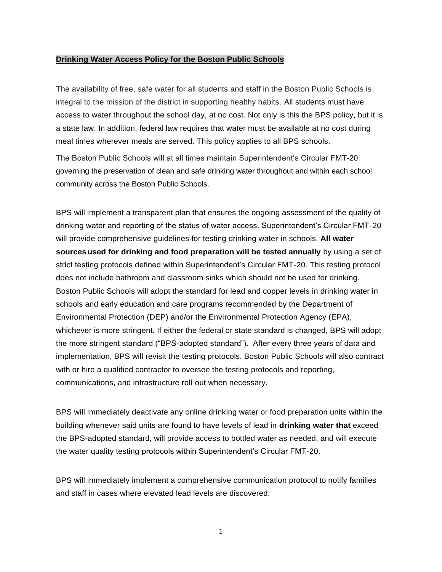## **Drinking Water Access Policy for the Boston Public Schools**

The availability of free, safe water for all students and staff in the Boston Public Schools is integral to the mission of the district in supporting healthy habits. All students must have access to water throughout the school day, at no cost. Not only is this the BPS policy, but it is a state law. In addition, federal law requires that water must be available at no cost during meal times wherever meals are served. This policy applies to all BPS schools.

The Boston Public Schools will at all times maintain Superintendent's Circular FMT-20 governing the preservation of clean and safe drinking water throughout and within each school community across the Boston Public Schools.

BPS will implement a transparent plan that ensures the ongoing assessment of the quality of drinking water and reporting of the status of water access. Superintendent's Circular FMT-20 will provide comprehensive guidelines for testing drinking water in schools. **All water sourcesused for drinking and food preparation will be tested annually** by using a set of strict testing protocols defined within Superintendent's Circular FMT-20. This testing protocol does not include bathroom and classroom sinks which should not be used for drinking. Boston Public Schools will adopt the standard for lead and copper levels in drinking water in schools and early education and care programs recommended by the Department of Environmental Protection (DEP) and/or the Environmental Protection Agency (EPA), whichever is more stringent. If either the federal or state standard is changed, BPS will adopt the more stringent standard ("BPS-adopted standard"). After every three years of data and implementation, BPS will revisit the testing protocols. Boston Public Schools will also contract with or hire a qualified contractor to oversee the testing protocols and reporting, communications, and infrastructure roll out when necessary.

BPS will immediately deactivate any online drinking water or food preparation units within the building whenever said units are found to have levels of lead in **drinking water that** exceed the BPS-adopted standard, will provide access to bottled water as needed, and will execute the water quality testing protocols within Superintendent's Circular FMT-20.

BPS will immediately implement a comprehensive communication protocol to notify families and staff in cases where elevated lead levels are discovered.

1